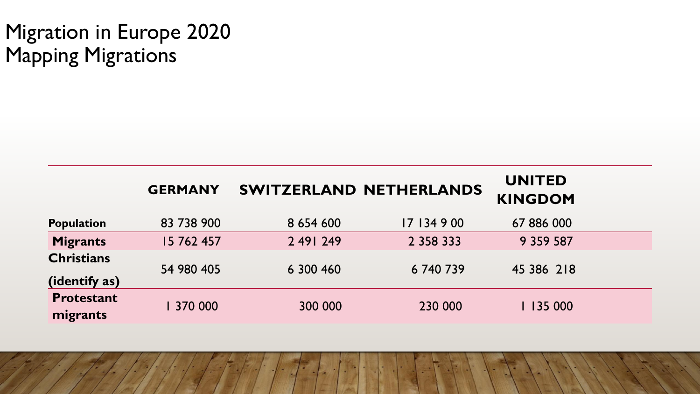# Migration in Europe 2020 Mapping Migrations

|                                    | <b>GERMANY</b> |               | <b>SWITZERLAND NETHERLANDS</b> | <b>UNITED</b><br><b>KINGDOM</b> |  |
|------------------------------------|----------------|---------------|--------------------------------|---------------------------------|--|
| <b>Population</b>                  | 83 738 900     | 8 6 5 4 6 0 0 | 17 134 9 00                    | 67 886 000                      |  |
| <b>Migrants</b>                    | 15 762 457     | 2 49 249      | 2 3 5 8 3 3 3 3                | 9 3 5 9 5 8 7                   |  |
| <b>Christians</b><br>(identify as) | 54 980 405     | 6 300 460     | 6740739                        | 45 386 218                      |  |
| <b>Protestant</b><br>migrants      | 370 000        | 300 000       | 230 000                        | 135 000                         |  |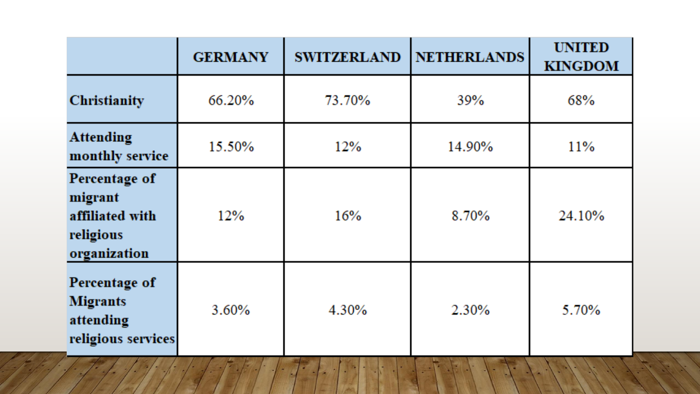|                                                                          | <b>GERMANY</b> | <b>SWITZERLAND</b> | <b>NETHERLANDS</b> | <b>UNITED</b><br><b>KINGDOM</b> |
|--------------------------------------------------------------------------|----------------|--------------------|--------------------|---------------------------------|
| Christianity                                                             | 66.20%         | 73.70%             | 39%                | 68%                             |
| <b>Attending</b><br>monthly service                                      | 15.50%         | 12%                | 14.90%             | 11%                             |
| Percentage of<br>migrant<br>affiliated with<br>religious<br>organization | 12%            | 16%                | 8.70%              | 24.10%                          |
| Percentage of<br><b>Migrants</b><br>attending<br>religious services      | 3.60%          | 4.30%              | 2.30%              | 5.70%                           |

а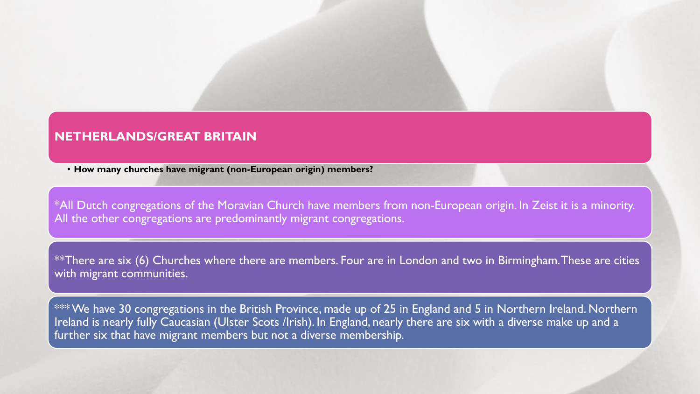## **NETHERLANDS/GREAT BRITAIN**

• **How many churches have migrant (non-European origin) members?**

\*All Dutch congregations of the Moravian Church have members from non-European origin. In Zeist it is a minority. All the other congregations are predominantly migrant congregations.

\*\*There are six (6) Churches where there are members. Four are in London and two in Birmingham. These are cities with migrant communities.

 $***$  We have 30 congregations in the British Province, made up of 25 in England and 5 in Northern Ireland. Northern Ireland is nearly fully Caucasian (Ulster Scots /Irish). In England, nearly there are six with a diverse make up and a further six that have migrant members but not a diverse membership.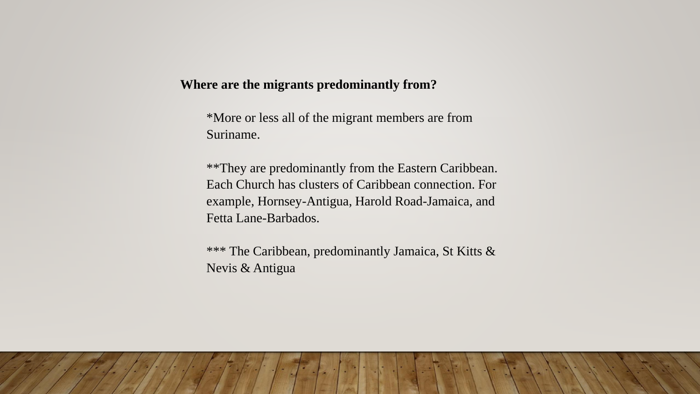## **Where are the migrants predominantly from?**

\*More or less all of the migrant members are from Suriname.

\*\*They are predominantly from the Eastern Caribbean. Each Church has clusters of Caribbean connection. For example, Hornsey-Antigua, Harold Road-Jamaica, and Fetta Lane-Barbados.

\*\*\* The Caribbean, predominantly Jamaica, St Kitts & Nevis & Antigua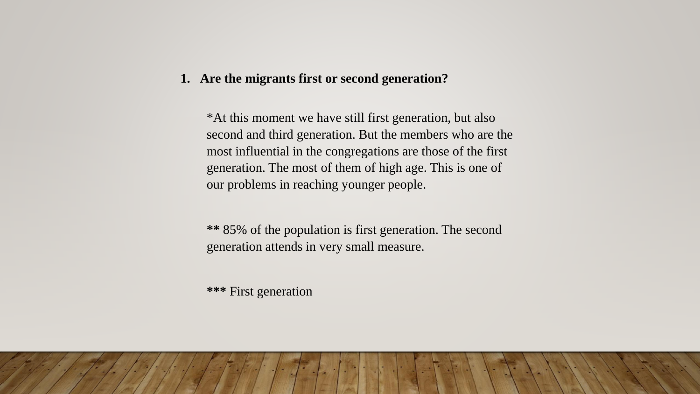#### **1. Are the migrants first or second generation?**

\*At this moment we have still first generation, but also second and third generation. But the members who are the most influential in the congregations are those of the first generation. The most of them of high age. This is one of our problems in reaching younger people.

**\*\*** 85% of the population is first generation. The second generation attends in very small measure.

**\*\*\*** First generation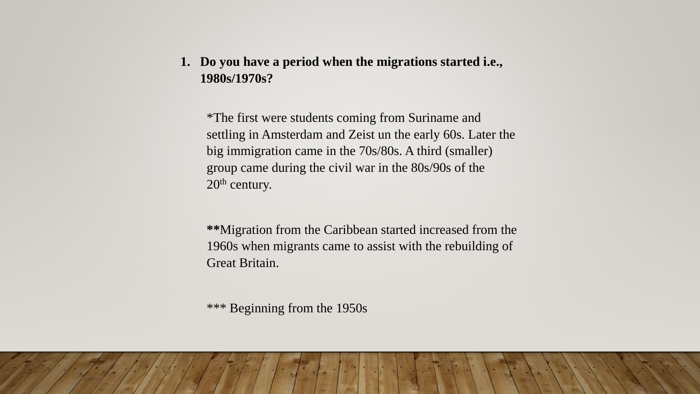**1. Do you have a period when the migrations started i.e., 1980s/1970s?**

\*The first were students coming from Suriname and settling in Amsterdam and Zeist un the early 60s. Later the big immigration came in the 70s/80s. A third (smaller) group came during the civil war in the 80s/90s of the 20<sup>th</sup> century.

**\*\***Migration from the Caribbean started increased from the 1960s when migrants came to assist with the rebuilding of Great Britain.

\*\*\* Beginning from the 1950s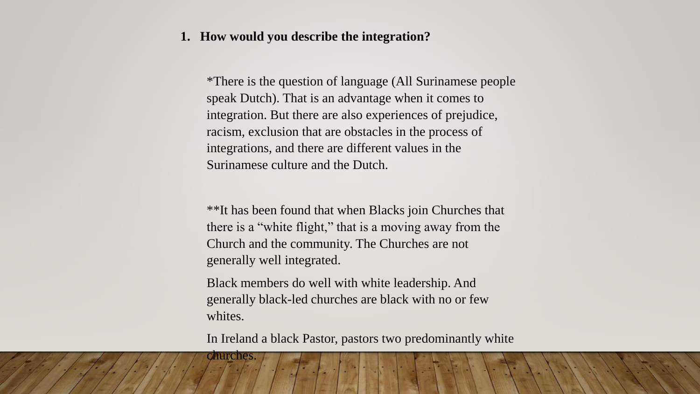#### **1. How would you describe the integration?**

\*There is the question of language (All Surinamese people speak Dutch). That is an advantage when it comes to integration. But there are also experiences of prejudice, racism, exclusion that are obstacles in the process of integrations, and there are different values in the Surinamese culture and the Dutch.

\*\*It has been found that when Blacks join Churches that there is a "white flight," that is a moving away from the Church and the community. The Churches are not generally well integrated.

Black members do well with white leadership. And generally black-led churches are black with no or few whites.

churches.

In Ireland a black Pastor, pastors two predominantly white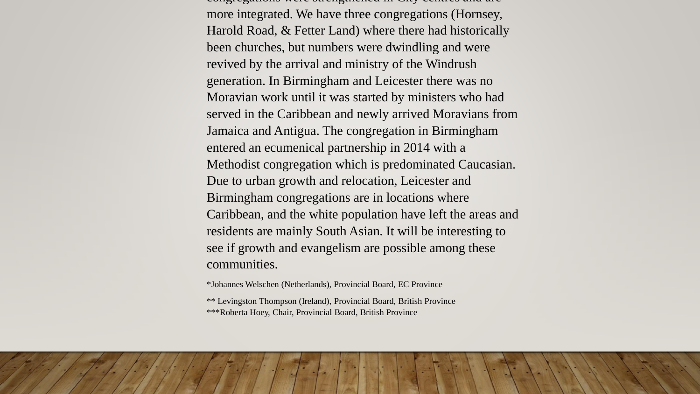congregations were strengthened in City centres and are more integrated. We have three congregations (Hornsey, Harold Road, & Fetter Land) where there had historically been churches, but numbers were dwindling and were revived by the arrival and ministry of the Windrush generation. In Birmingham and Leicester there was no Moravian work until it was started by ministers who had served in the Caribbean and newly arrived Moravians from Jamaica and Antigua. The congregation in Birmingham entered an ecumenical partnership in 2014 with a Methodist congregation which is predominated Caucasian. Due to urban growth and relocation, Leicester and Birmingham congregations are in locations where Caribbean, and the white population have left the areas and residents are mainly South Asian. It will be interesting to see if growth and evangelism are possible among these communities.

\*Johannes Welschen (Netherlands), Provincial Board, EC Province

\*\* Levingston Thompson (Ireland), Provincial Board, British Province \*\*\*Roberta Hoey, Chair, Provincial Board, British Province